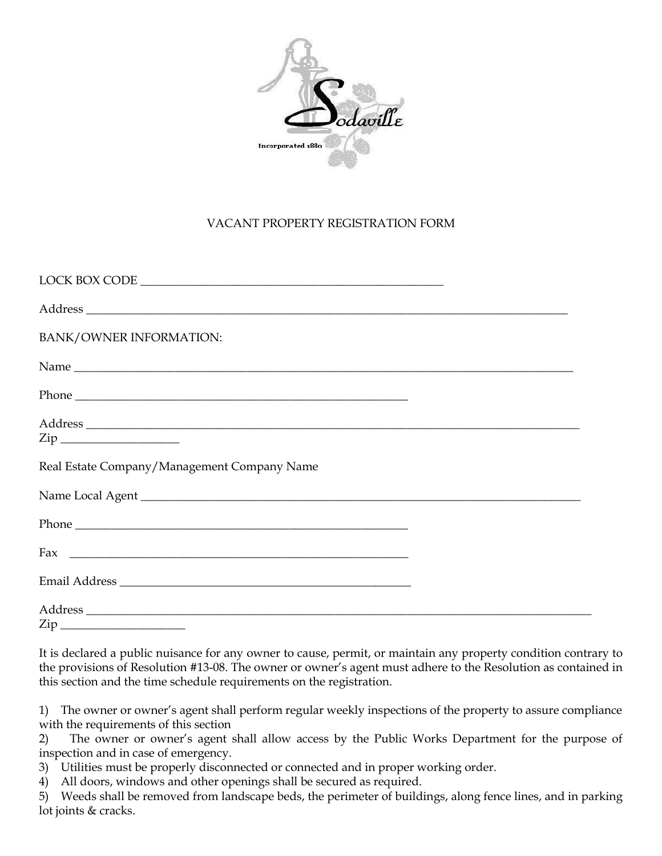

## VACANT PROPERTY REGISTRATION FORM

| LOCK BOX CODE                               |  |
|---------------------------------------------|--|
|                                             |  |
| BANK/OWNER INFORMATION:                     |  |
|                                             |  |
|                                             |  |
|                                             |  |
| $\mathsf{Zip}\_$                            |  |
| Real Estate Company/Management Company Name |  |
|                                             |  |
|                                             |  |
|                                             |  |
|                                             |  |
|                                             |  |
|                                             |  |

It is declared a public nuisance for any owner to cause, permit, or maintain any property condition contrary to the provisions of Resolution #13-08. The owner or owner's agent must adhere to the Resolution as contained in this section and the time schedule requirements on the registration.

1) The owner or owner's agent shall perform regular weekly inspections of the property to assure compliance with the requirements of this section

2) The owner or owner's agent shall allow access by the Public Works Department for the purpose of inspection and in case of emergency.

3) Utilities must be properly disconnected or connected and in proper working order.

4) All doors, windows and other openings shall be secured as required.

5) Weeds shall be removed from landscape beds, the perimeter of buildings, along fence lines, and in parking lot joints & cracks.